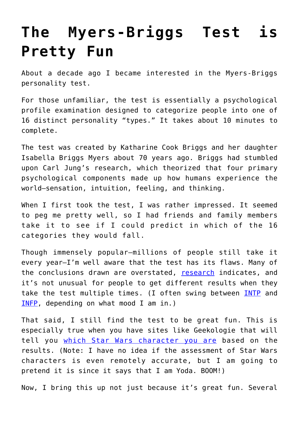## **[The Myers-Briggs Test is](https://intellectualtakeout.org/2016/04/the-myers-briggs-test-is-pretty-fun/) [Pretty Fun](https://intellectualtakeout.org/2016/04/the-myers-briggs-test-is-pretty-fun/)**

About a decade ago I became interested in the Myers-Briggs personality test.

For those unfamiliar, the test is essentially a psychological profile examination designed to categorize people into one of 16 distinct personality "types." It takes about 10 minutes to complete.

The test was created by Katharine Cook Briggs and her daughter Isabella Briggs Myers about 70 years ago. Briggs had stumbled upon Carl Jung's research, which theorized that four primary psychological components made up how humans experience the world—sensation, intuition, feeling, and thinking.

When I first took the test, I was rather impressed. It seemed to peg me pretty well, so I had friends and family members take it to see if I could predict in which of the 16 categories they would fall.

Though immensely popular—millions of people still take it every year—I'm well aware that the test has its flaws. Many of the conclusions drawn are overstated, [research](http://www.indiana.edu/~jobtalk/HRMWebsite/hrm/articles/develop/mbti.pdf) indicates, and it's not unusual for people to get different results when they take the test multiple times. (I often swing between [INTP](http://www.humanmetrics.com/personality/intp) and [INFP](http://www.humanmetrics.com/personality/infp), depending on what mood I am in.)

That said, I still find the test to be great fun. This is especially true when you have sites like Geekologie that will tell you [which Star Wars character you are](http://geekologie.com/image.php?path=/2013/12/09/star-wars-myers-briggs-readable.jpg) based on the results. (Note: I have no idea if the assessment of Star Wars characters is even remotely accurate, but I am going to pretend it is since it says that I am Yoda. BOOM!)

Now, I bring this up not just because it's great fun. Several